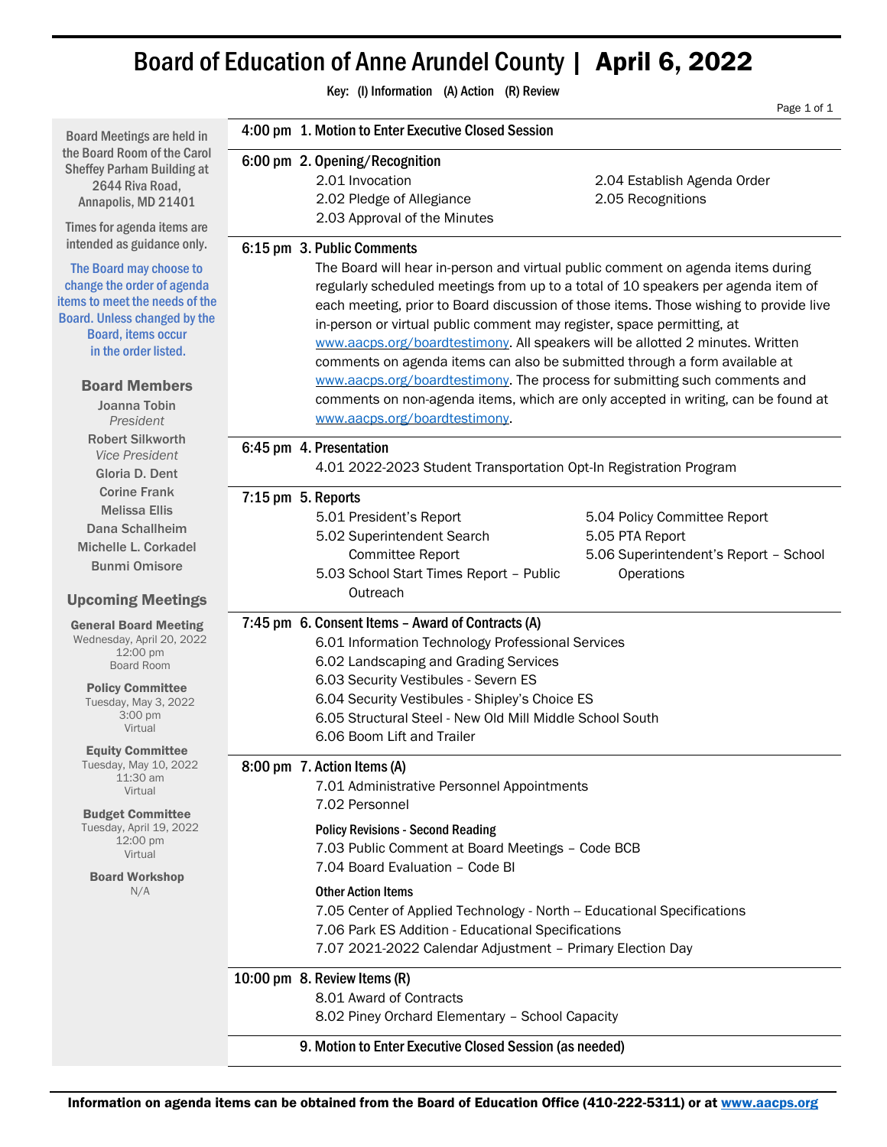# Board of Education of Anne Arundel County | April 6, 2022

Key: (I) Information (A) Action (R) Review Page 1 of 1 Board Meetings are held in the Board Room of the Carol Sheffey Parham Building at 2644 Riva Road, Annapolis, MD 21401 Times for agenda items are intended as guidance only. The Board may choose to change the order of agenda items to meet the needs of the Board. Unless changed by the Board, items occur in the order listed. Board Members Joanna Tobin *President* Robert Silkworth *Vice President* Gloria D. Dent Corine Frank Melissa Ellis Dana Schallheim Michelle L. Corkadel Bunmi Omisore Upcoming Meetings General Board Meeting Wednesday, April 20, 2022 12:00 pm Board Room Policy Committee Tuesday, May 3, 2022 3:00 pm Virtual Equity Committee Tuesday, May 10, 2022 11:30 am Virtual Budget Committee Tuesday, April 19, 2022 12:00 pm Virtual Board Workshop N/A 4:00 pm 1. Motion to Enter Executive Closed Session 6:00 pm 2. Opening/Recognition 2.01 Invocation 2.04 Establish Agenda Order 2.02 Pledge of Allegiance 2.05 Recognitions 2.03 Approval of the Minutes 6:15 pm 3. Public Comments The Board will hear in-person and virtual public comment on agenda items during regularly scheduled meetings from up to a total of 10 speakers per agenda item of each meeting, prior to Board discussion of those items. Those wishing to provide live in-person or virtual public comment may register, space permitting, at [www.aacps.org/boardtestimony.](http://www.aacps.org/boardtestimony) All speakers will be allotted 2 minutes. Written comments on agenda items can also be submitted through a form available at [www.aacps.org/boardtestimony.](http://www.aacps.org/boardtestimony) The process for submitting such comments and comments on non-agenda items, which are only accepted in writing, can be found at [www.aacps.org/boardtestimony.](http://www.aacps.org/boardtestimony) 6:45 pm 4. Presentation 4.01 2022-2023 Student Transportation Opt-In Registration Program 7:15 pm 5. Reports 5.01 President's Report 5.02 Superintendent Search Committee Report 5.03 School Start Times Report – Public **Outreach**  5.04 Policy Committee Report 5.05 PTA Report 5.06 Superintendent's Report – School **Operations** 7:45 pm 6. Consent Items – Award of Contracts (A) 6.01 Information Technology Professional Services 6.02 Landscaping and Grading Services 6.03 Security Vestibules - Severn ES 6.04 Security Vestibules - Shipley's Choice ES 6.05 Structural Steel - New Old Mill Middle School South 6.06 Boom Lift and Trailer 8:00 pm 7. Action Items (A) 7.01 Administrative Personnel Appointments 7.02 Personnel Policy Revisions - Second Reading 7.03 Public Comment at Board Meetings – Code BCB 7.04 Board Evaluation – Code BI Other Action Items 7.05 Center of Applied Technology - North -- Educational Specifications 7.06 Park ES Addition - Educational Specifications 7.07 2021-2022 Calendar Adjustment – Primary Election Day 10:00 pm 8. Review Items (R) 8.01 Award of Contracts 8.02 Piney Orchard Elementary – School Capacity 9. Motion to Enter Executive Closed Session (as needed)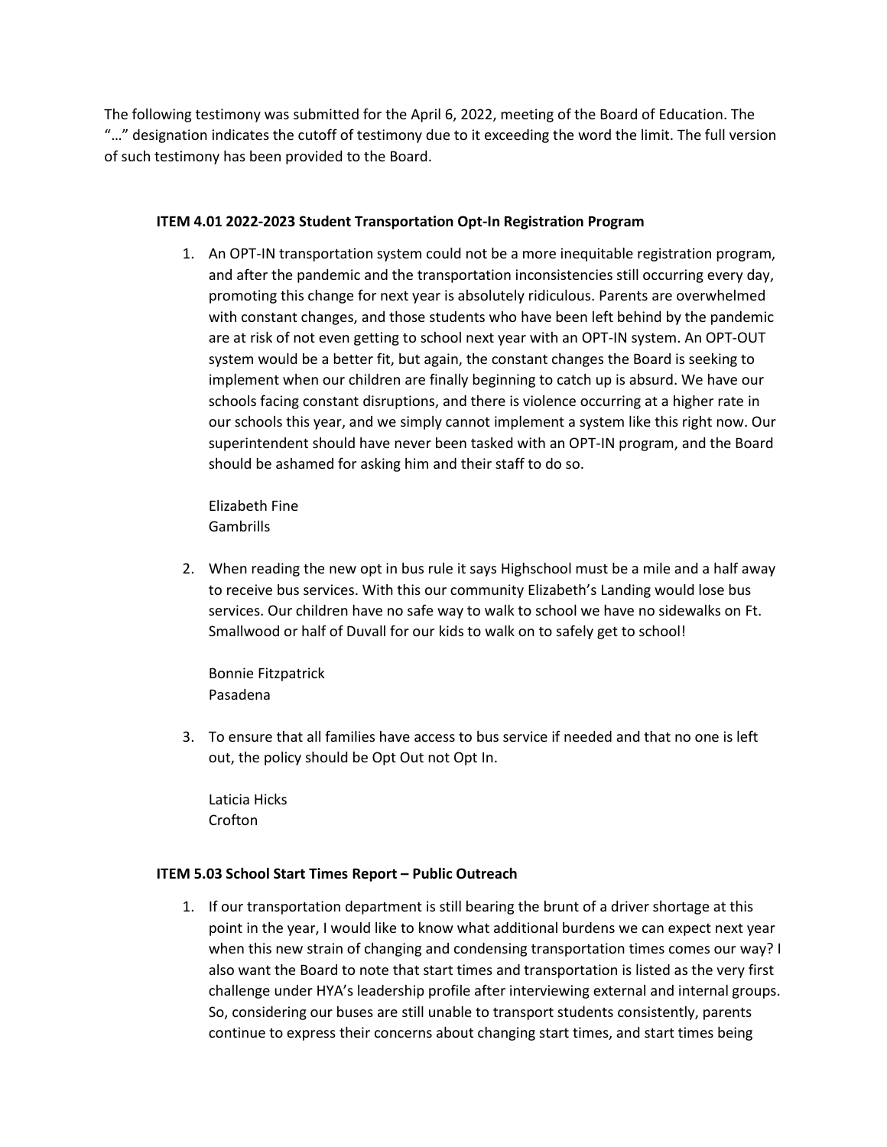The following testimony was submitted for the April 6, 2022, meeting of the Board of Education. The "…" designation indicates the cutoff of testimony due to it exceeding the word the limit. The full version of such testimony has been provided to the Board.

## **ITEM 4.01 2022-2023 Student Transportation Opt-In Registration Program**

1. An OPT-IN transportation system could not be a more inequitable registration program, and after the pandemic and the transportation inconsistencies still occurring every day, promoting this change for next year is absolutely ridiculous. Parents are overwhelmed with constant changes, and those students who have been left behind by the pandemic are at risk of not even getting to school next year with an OPT-IN system. An OPT-OUT system would be a better fit, but again, the constant changes the Board is seeking to implement when our children are finally beginning to catch up is absurd. We have our schools facing constant disruptions, and there is violence occurring at a higher rate in our schools this year, and we simply cannot implement a system like this right now. Our superintendent should have never been tasked with an OPT-IN program, and the Board should be ashamed for asking him and their staff to do so.

Elizabeth Fine Gambrills

2. When reading the new opt in bus rule it says Highschool must be a mile and a half away to receive bus services. With this our community Elizabeth's Landing would lose bus services. Our children have no safe way to walk to school we have no sidewalks on Ft. Smallwood or half of Duvall for our kids to walk on to safely get to school!

Bonnie Fitzpatrick Pasadena

3. To ensure that all families have access to bus service if needed and that no one is left out, the policy should be Opt Out not Opt In.

Laticia Hicks Crofton

## **ITEM 5.03 School Start Times Report – Public Outreach**

1. If our transportation department is still bearing the brunt of a driver shortage at this point in the year, I would like to know what additional burdens we can expect next year when this new strain of changing and condensing transportation times comes our way? I also want the Board to note that start times and transportation is listed as the very first challenge under HYA's leadership profile after interviewing external and internal groups. So, considering our buses are still unable to transport students consistently, parents continue to express their concerns about changing start times, and start times being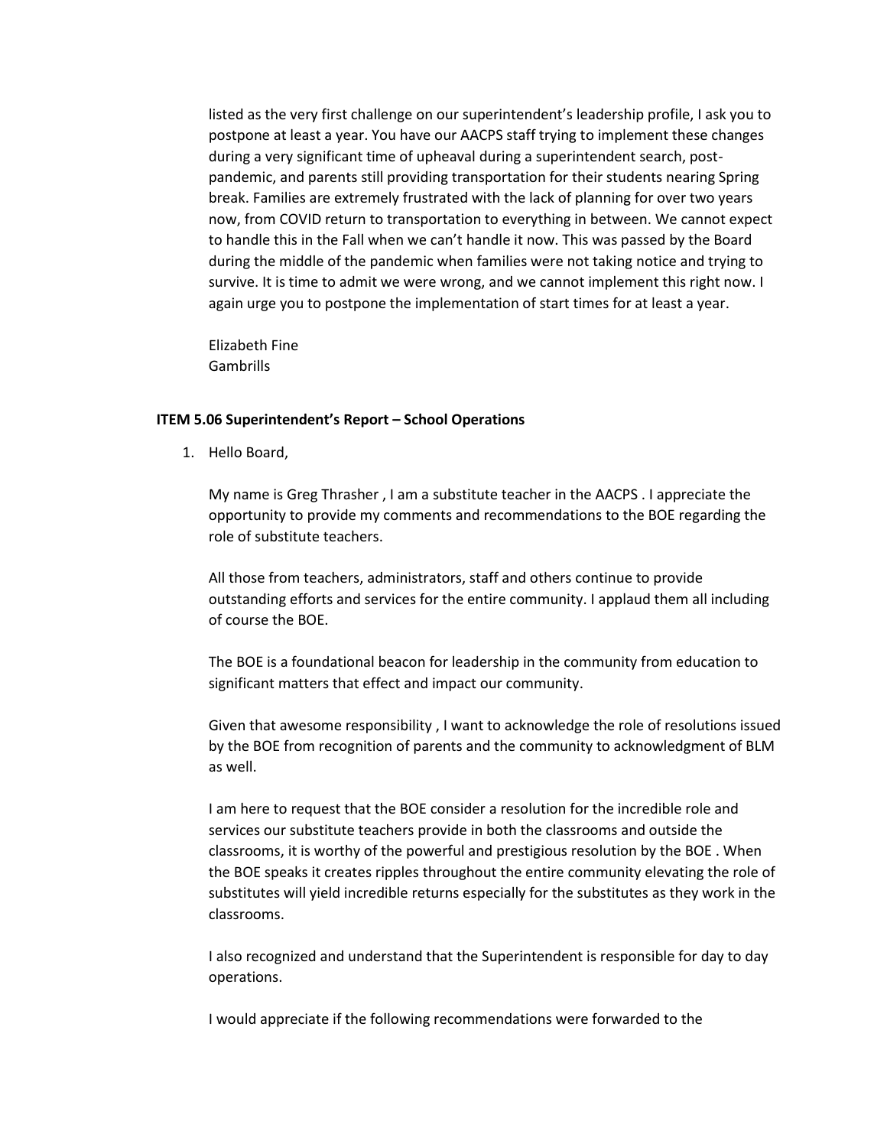listed as the very first challenge on our superintendent's leadership profile, I ask you to postpone at least a year. You have our AACPS staff trying to implement these changes during a very significant time of upheaval during a superintendent search, postpandemic, and parents still providing transportation for their students nearing Spring break. Families are extremely frustrated with the lack of planning for over two years now, from COVID return to transportation to everything in between. We cannot expect to handle this in the Fall when we can't handle it now. This was passed by the Board during the middle of the pandemic when families were not taking notice and trying to survive. It is time to admit we were wrong, and we cannot implement this right now. I again urge you to postpone the implementation of start times for at least a year.

Elizabeth Fine Gambrills

#### **ITEM 5.06 Superintendent's Report – School Operations**

1. Hello Board,

My name is Greg Thrasher , I am a substitute teacher in the AACPS . I appreciate the opportunity to provide my comments and recommendations to the BOE regarding the role of substitute teachers.

All those from teachers, administrators, staff and others continue to provide outstanding efforts and services for the entire community. I applaud them all including of course the BOE.

The BOE is a foundational beacon for leadership in the community from education to significant matters that effect and impact our community.

Given that awesome responsibility , I want to acknowledge the role of resolutions issued by the BOE from recognition of parents and the community to acknowledgment of BLM as well.

I am here to request that the BOE consider a resolution for the incredible role and services our substitute teachers provide in both the classrooms and outside the classrooms, it is worthy of the powerful and prestigious resolution by the BOE . When the BOE speaks it creates ripples throughout the entire community elevating the role of substitutes will yield incredible returns especially for the substitutes as they work in the classrooms.

I also recognized and understand that the Superintendent is responsible for day to day operations.

I would appreciate if the following recommendations were forwarded to the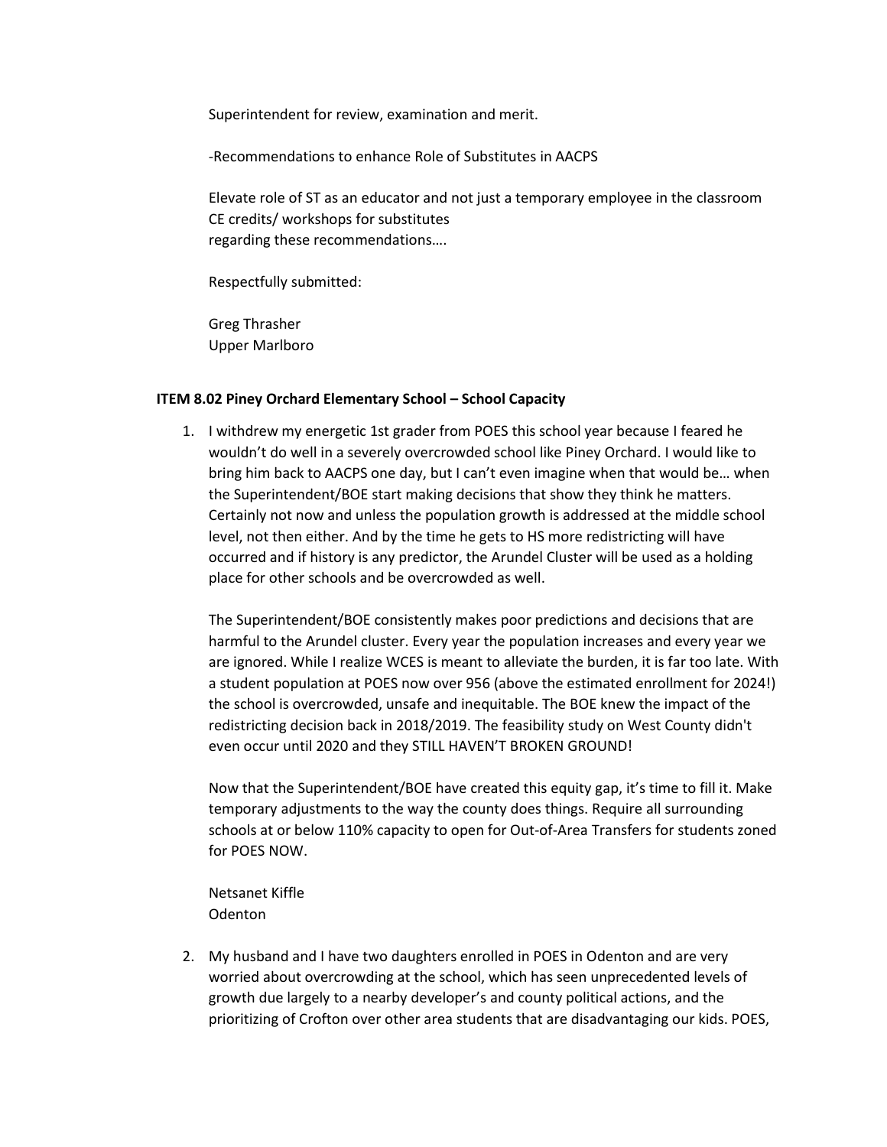Superintendent for review, examination and merit.

-Recommendations to enhance Role of Substitutes in AACPS

Elevate role of ST as an educator and not just a temporary employee in the classroom CE credits/ workshops for substitutes regarding these recommendations….

Respectfully submitted:

Greg Thrasher Upper Marlboro

#### **ITEM 8.02 Piney Orchard Elementary School – School Capacity**

1. I withdrew my energetic 1st grader from POES this school year because I feared he wouldn't do well in a severely overcrowded school like Piney Orchard. I would like to bring him back to AACPS one day, but I can't even imagine when that would be… when the Superintendent/BOE start making decisions that show they think he matters. Certainly not now and unless the population growth is addressed at the middle school level, not then either. And by the time he gets to HS more redistricting will have occurred and if history is any predictor, the Arundel Cluster will be used as a holding place for other schools and be overcrowded as well.

The Superintendent/BOE consistently makes poor predictions and decisions that are harmful to the Arundel cluster. Every year the population increases and every year we are ignored. While I realize WCES is meant to alleviate the burden, it is far too late. With a student population at POES now over 956 (above the estimated enrollment for 2024!) the school is overcrowded, unsafe and inequitable. The BOE knew the impact of the redistricting decision back in 2018/2019. The feasibility study on West County didn't even occur until 2020 and they STILL HAVEN'T BROKEN GROUND!

Now that the Superintendent/BOE have created this equity gap, it's time to fill it. Make temporary adjustments to the way the county does things. Require all surrounding schools at or below 110% capacity to open for Out-of-Area Transfers for students zoned for POES NOW.

Netsanet Kiffle Odenton

2. My husband and I have two daughters enrolled in POES in Odenton and are very worried about overcrowding at the school, which has seen unprecedented levels of growth due largely to a nearby developer's and county political actions, and the prioritizing of Crofton over other area students that are disadvantaging our kids. POES,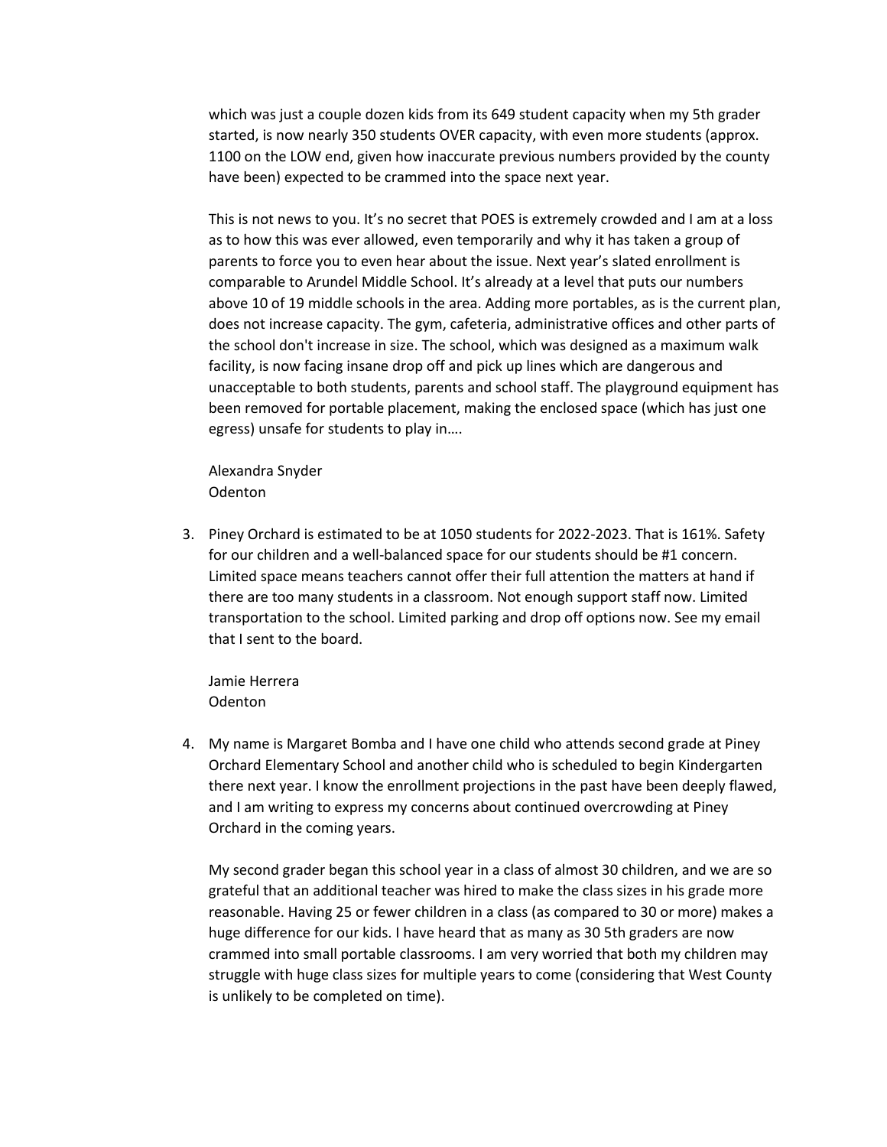which was just a couple dozen kids from its 649 student capacity when my 5th grader started, is now nearly 350 students OVER capacity, with even more students (approx. 1100 on the LOW end, given how inaccurate previous numbers provided by the county have been) expected to be crammed into the space next year.

This is not news to you. It's no secret that POES is extremely crowded and I am at a loss as to how this was ever allowed, even temporarily and why it has taken a group of parents to force you to even hear about the issue. Next year's slated enrollment is comparable to Arundel Middle School. It's already at a level that puts our numbers above 10 of 19 middle schools in the area. Adding more portables, as is the current plan, does not increase capacity. The gym, cafeteria, administrative offices and other parts of the school don't increase in size. The school, which was designed as a maximum walk facility, is now facing insane drop off and pick up lines which are dangerous and unacceptable to both students, parents and school staff. The playground equipment has been removed for portable placement, making the enclosed space (which has just one egress) unsafe for students to play in….

Alexandra Snyder **Odenton** 

3. Piney Orchard is estimated to be at 1050 students for 2022-2023. That is 161%. Safety for our children and a well-balanced space for our students should be #1 concern. Limited space means teachers cannot offer their full attention the matters at hand if there are too many students in a classroom. Not enough support staff now. Limited transportation to the school. Limited parking and drop off options now. See my email that I sent to the board.

Jamie Herrera **Odenton** 

4. My name is Margaret Bomba and I have one child who attends second grade at Piney Orchard Elementary School and another child who is scheduled to begin Kindergarten there next year. I know the enrollment projections in the past have been deeply flawed, and I am writing to express my concerns about continued overcrowding at Piney Orchard in the coming years.

My second grader began this school year in a class of almost 30 children, and we are so grateful that an additional teacher was hired to make the class sizes in his grade more reasonable. Having 25 or fewer children in a class (as compared to 30 or more) makes a huge difference for our kids. I have heard that as many as 30 5th graders are now crammed into small portable classrooms. I am very worried that both my children may struggle with huge class sizes for multiple years to come (considering that West County is unlikely to be completed on time).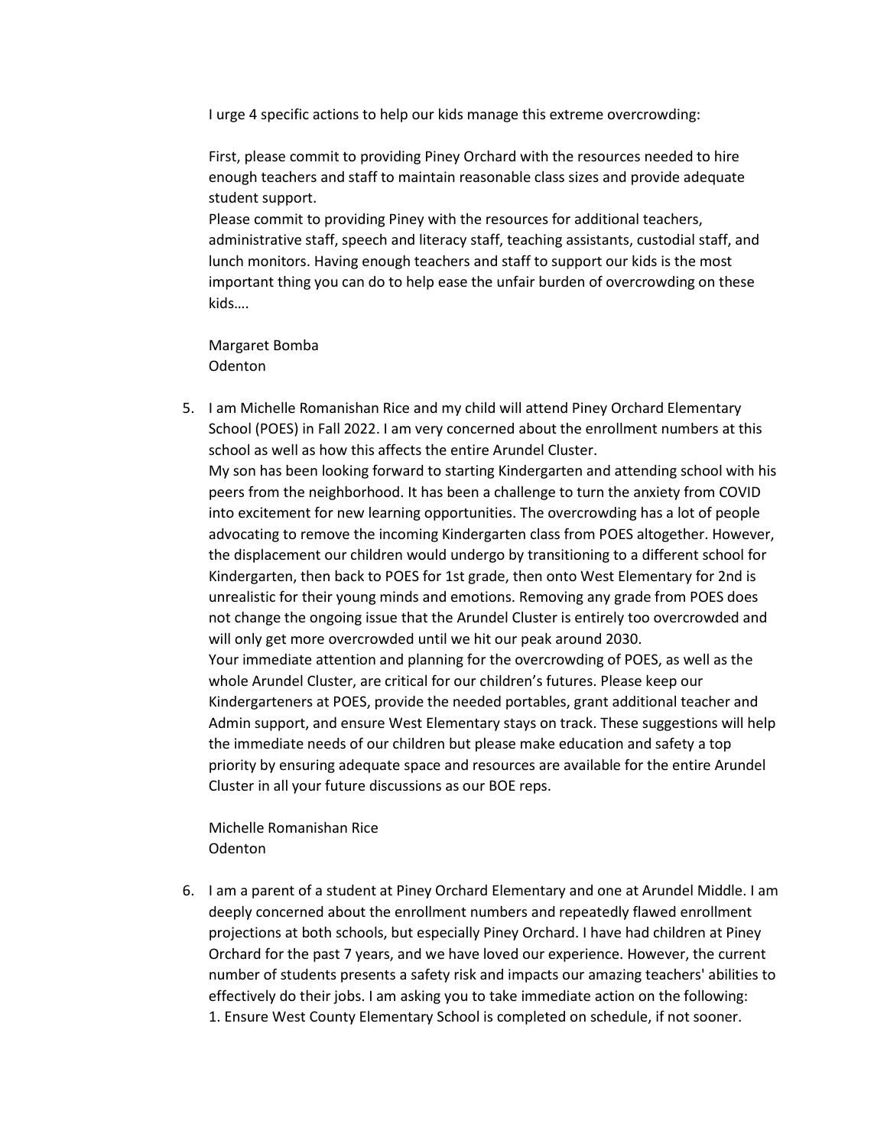I urge 4 specific actions to help our kids manage this extreme overcrowding:

First, please commit to providing Piney Orchard with the resources needed to hire enough teachers and staff to maintain reasonable class sizes and provide adequate student support.

Please commit to providing Piney with the resources for additional teachers, administrative staff, speech and literacy staff, teaching assistants, custodial staff, and lunch monitors. Having enough teachers and staff to support our kids is the most important thing you can do to help ease the unfair burden of overcrowding on these kids….

Margaret Bomba Odenton

5. I am Michelle Romanishan Rice and my child will attend Piney Orchard Elementary School (POES) in Fall 2022. I am very concerned about the enrollment numbers at this school as well as how this affects the entire Arundel Cluster. My son has been looking forward to starting Kindergarten and attending school with his peers from the neighborhood. It has been a challenge to turn the anxiety from COVID into excitement for new learning opportunities. The overcrowding has a lot of people advocating to remove the incoming Kindergarten class from POES altogether. However, the displacement our children would undergo by transitioning to a different school for Kindergarten, then back to POES for 1st grade, then onto West Elementary for 2nd is unrealistic for their young minds and emotions. Removing any grade from POES does not change the ongoing issue that the Arundel Cluster is entirely too overcrowded and will only get more overcrowded until we hit our peak around 2030. Your immediate attention and planning for the overcrowding of POES, as well as the whole Arundel Cluster, are critical for our children's futures. Please keep our Kindergarteners at POES, provide the needed portables, grant additional teacher and Admin support, and ensure West Elementary stays on track. These suggestions will help the immediate needs of our children but please make education and safety a top priority by ensuring adequate space and resources are available for the entire Arundel Cluster in all your future discussions as our BOE reps.

Michelle Romanishan Rice Odenton

6. I am a parent of a student at Piney Orchard Elementary and one at Arundel Middle. I am deeply concerned about the enrollment numbers and repeatedly flawed enrollment projections at both schools, but especially Piney Orchard. I have had children at Piney Orchard for the past 7 years, and we have loved our experience. However, the current number of students presents a safety risk and impacts our amazing teachers' abilities to effectively do their jobs. I am asking you to take immediate action on the following: 1. Ensure West County Elementary School is completed on schedule, if not sooner.